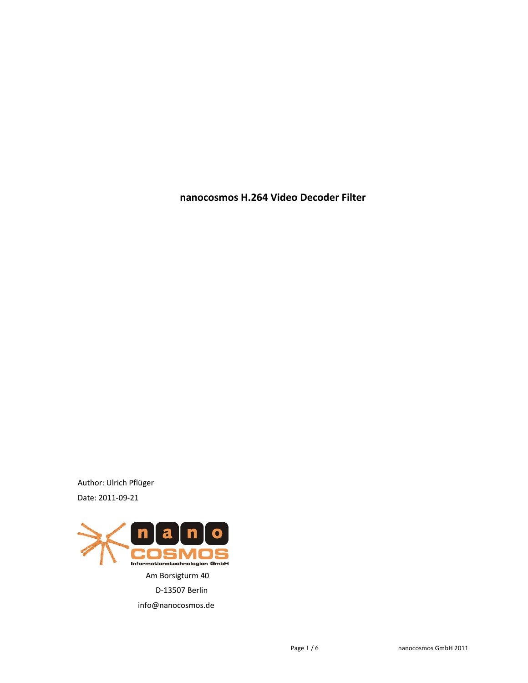**nanocosmos H.264 Video Decoder Filter**

Author: Ulrich Pflüger Date: 2011-09-21

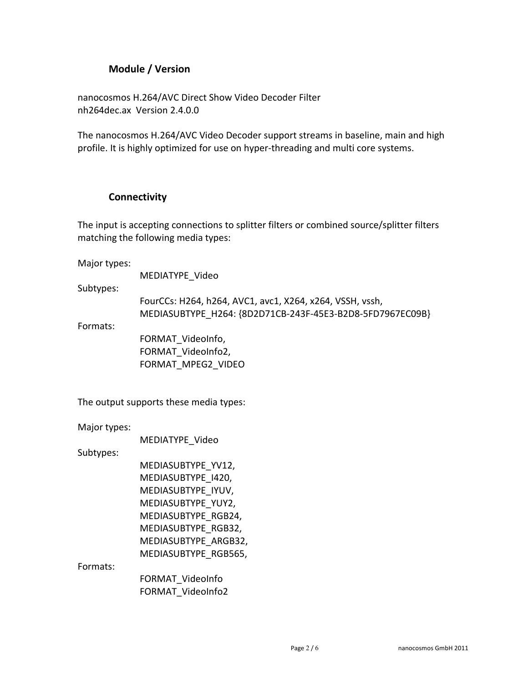# **Module / Version**

nanocosmos H.264/AVC Direct Show Video Decoder Filter nh264dec.ax Version 2.4.0.0

The nanocosmos H.264/AVC Video Decoder support streams in baseline, main and high profile. It is highly optimized for use on hyper-threading and multi core systems.

## **Connectivity**

The input is accepting connections to splitter filters or combined source/splitter filters matching the following media types:

Major types:

MEDIATYPE\_Video

Subtypes:

FourCCs: H264, h264, AVC1, avc1, X264, x264, VSSH, vssh, MEDIASUBTYPE\_H264: {8D2D71CB-243F-45E3-B2D8-5FD7967EC09B}

Formats:

FORMAT\_VideoInfo, FORMAT\_VideoInfo2, FORMAT\_MPEG2\_VIDEO

The output supports these media types:

Major types:

MEDIATYPE\_Video

Subtypes:

MEDIASUBTYPE\_YV12, MEDIASUBTYPE\_I420, MEDIASUBTYPE\_IYUV, MEDIASUBTYPE\_YUY2, MEDIASUBTYPE\_RGB24, MEDIASUBTYPE\_RGB32, MEDIASUBTYPE\_ARGB32, MEDIASUBTYPE\_RGB565,

Formats:

FORMAT\_VideoInfo FORMAT\_VideoInfo2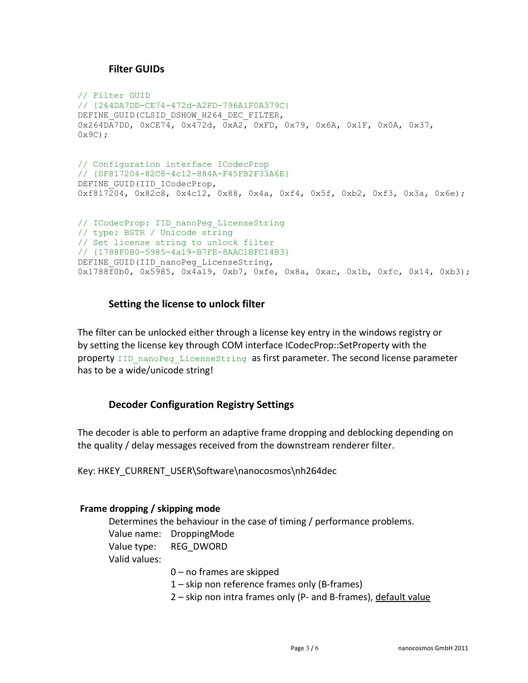## **Filter GUIDs**

```
// Filter GUID
// {264DA7DD-CE74-472d-A2FD-796A1F0A379C}
DEFINE_GUID(CLSID_DSHOW_H264_DEC_FILTER,
0x264D\overline{A}7DD, 0xCE7\overline{4}, 0x472d, 0xA2, 0xFD, 0x79, 0x6A, 0x1F, 0x0A, 0x37,
0 \times 9C) :
// Configuration interface ICodecProp
// {0F817204-82C8-4c12-884A-F45FB2F33A6E}
DEFINE GUID(IID ICodecProp,
0xf817204, 0x82c8, 0x4c12, 0x88, 0x4a, 0xf4, 0x5f, 0xb2, 0xf3, 0x3a, 0x6e);
// ICodecProp: IID nanoPeg LicenseString
// type: BSTR / Unicode string
// Set license string to unlock filter
// {1788F0B0-5985-4a19-B7FE-8AAC1BFC14B3}
DEFINE GUID(IID nanoPeg LicenseString,
0x1788f0b0, 0x5985, 0x4a19, 0xb7, 0xfe, 0x8a, 0xac, 0x1b, 0xfc, 0x14, 0xb3);
```
### **Setting the license to unlock filter**

The filter can be unlocked either through a license key entry in the windows registry or by setting the license key through COM interface ICodecProp::SetProperty with the property IID nanoPeg LicenseString as first parameter. The second license parameter has to be a wide/unicode string!

# **Decoder Configuration Registry Settings**

The decoder is able to perform an adaptive frame dropping and deblocking depending on the quality / delay messages received from the downstream renderer filter.

Key: HKEY\_CURRENT\_USER\Software\nanocosmos\nh264dec

### **Frame dropping / skipping mode**

Determines the behaviour in the case of timing / performance problems. Value name: DroppingMode Value type: REG\_DWORD Valid values: 0 – no frames are skipped

1 – skip non reference frames only (B-frames)

2 – skip non intra frames only (P- and B-frames), default value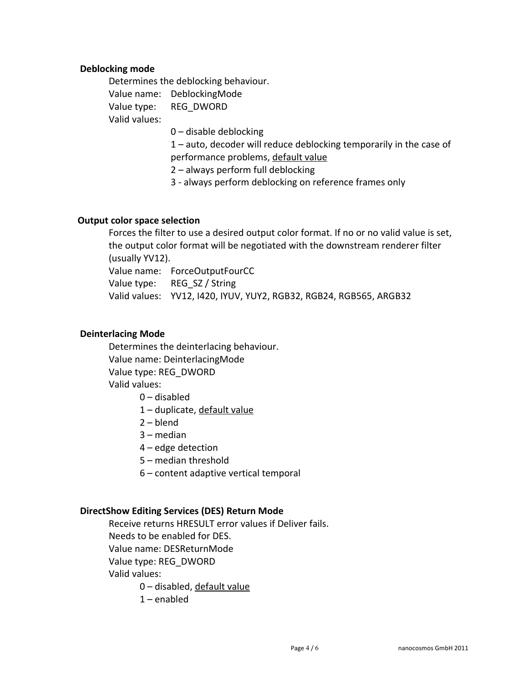#### **Deblocking mode**

Determines the deblocking behaviour. Value name: DeblockingMode Value type: REG\_DWORD Valid values:

0 – disable deblocking

1 – auto, decoder will reduce deblocking temporarily in the case of performance problems, default value

2 – always perform full deblocking

3 - always perform deblocking on reference frames only

#### **Output color space selection**

Forces the filter to use a desired output color format. If no or no valid value is set, the output color format will be negotiated with the downstream renderer filter (usually YV12).

Value name: ForceOutputFourCC

Value type: REG\_SZ / String

Valid values: YV12, I420, IYUV, YUY2, RGB32, RGB24, RGB565, ARGB32

#### **Deinterlacing Mode**

Determines the deinterlacing behaviour. Value name: DeinterlacingMode Value type: REG\_DWORD Valid values:

- 0 disabled
- 1 duplicate, default value
- 2 blend
- 3 median
- 4 edge detection
- 5 median threshold
- 6 content adaptive vertical temporal

#### **DirectShow Editing Services (DES) Return Mode**

Receive returns HRESULT error values if Deliver fails. Needs to be enabled for DES. Value name: DESReturnMode Value type: REG\_DWORD Valid values: 0 – disabled, default value

 $1$  – enabled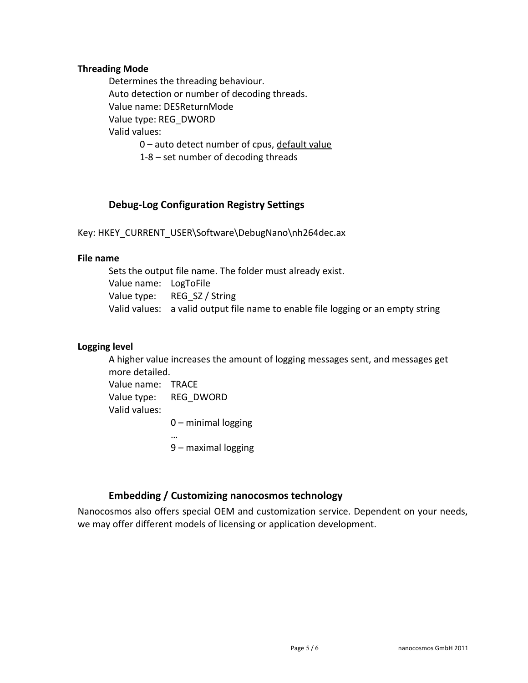#### **Threading Mode**

Determines the threading behaviour. Auto detection or number of decoding threads. Value name: DESReturnMode Value type: REG\_DWORD Valid values: 0 – auto detect number of cpus, default value 1-8 – set number of decoding threads

# **Debug-Log Configuration Registry Settings**

Key: HKEY\_CURRENT\_USER\Software\DebugNano\nh264dec.ax

#### **File name**

Sets the output file name. The folder must already exist. Value name: LogToFile Value type: REG SZ / String Valid values: a valid output file name to enable file logging or an empty string

### **Logging level**

A higher value increases the amount of logging messages sent, and messages get more detailed.

Value name: TRACE Value type: REG\_DWORD Valid values: 0 – minimal logging

… 9 – maximal logging

# **Embedding / Customizing nanocosmos technology**

Nanocosmos also offers special OEM and customization service. Dependent on your needs, we may offer different models of licensing or application development.